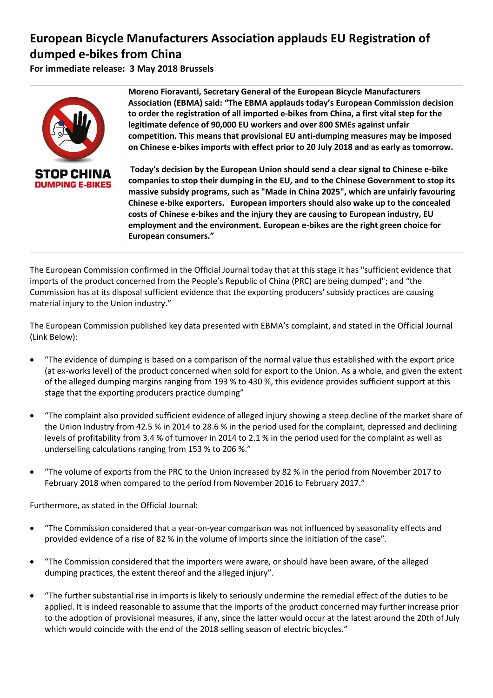## **European Bicycle Manufacturers Association applauds EU Registration of dumped e-bikes from China**

**For immediate release: 3 May 2018 Brussels**



The European Commission confirmed in the Official Journal today that at this stage it has "sufficient evidence that imports of the product concerned from the People's Republic of China (PRC) are being dumped"; and "the Commission has at its disposal sufficient evidence that the exporting producers' subsidy practices are causing material injury to the Union industry."

The European Commission published key data presented with EBMA's complaint, and stated in the Official Journal (Link Below):

- "The evidence of dumping is based on a comparison of the normal value thus established with the export price (at ex-works level) of the product concerned when sold for export to the Union. As a whole, and given the extent of the alleged dumping margins ranging from 193 % to 430 %, this evidence provides sufficient support at this stage that the exporting producers practice dumping"
- "The complaint also provided sufficient evidence of alleged injury showing a steep decline of the market share of the Union Industry from 42.5 % in 2014 to 28.6 % in the period used for the complaint, depressed and declining levels of profitability from 3.4 % of turnover in 2014 to 2.1 % in the period used for the complaint as well as underselling calculations ranging from 153 % to 206 %."
- "The volume of exports from the PRC to the Union increased by 82 % in the period from November 2017 to February 2018 when compared to the period from November 2016 to February 2017."

Furthermore, as stated in the Official Journal:

- "The Commission considered that a year-on-year comparison was not influenced by seasonality effects and provided evidence of a rise of 82 % in the volume of imports since the initiation of the case".
- "The Commission considered that the importers were aware, or should have been aware, of the alleged dumping practices, the extent thereof and the alleged injury".
- "The further substantial rise in imports is likely to seriously undermine the remedial effect of the duties to be applied. It is indeed reasonable to assume that the imports of the product concerned may further increase prior to the adoption of provisional measures, if any, since the latter would occur at the latest around the 20th of July which would coincide with the end of the 2018 selling season of electric bicycles."